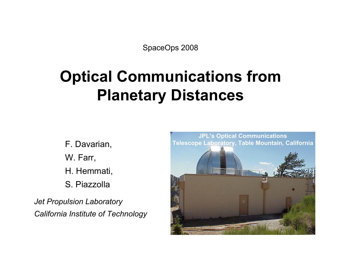SpaceOps 2008

# **Optical Communications from Planetary Distances**

F. Davarian, W. Farr, H. Hemmati, S. Piazzolla

*Jet Propulsion Laboratory California Institute of Technology*

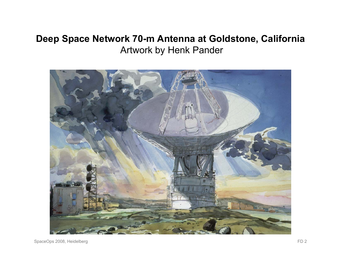#### **Deep Space Network 70-m Antenna at Goldstone, California**  Artwork by Henk Pander

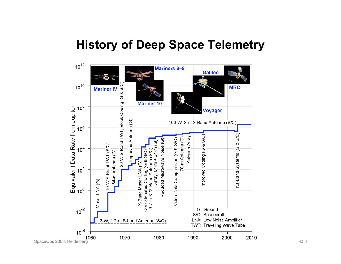#### **History of Deep Space Telemetry**

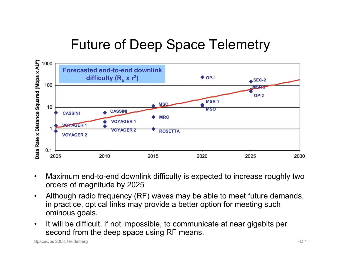## Future of Deep Space Telemetry



- Maximum end-to-end downlink difficulty is expected to increase roughly two orders of magnitude by 2025
- Although radio frequency (RF) waves may be able to meet future demands, in practice, optical links may provide a better option for meeting such ominous goals.
- It will be difficult, if not impossible, to communicate at near gigabits per second from the deep space using RF means.

SpaceOps 2008, Heidelberg FD 4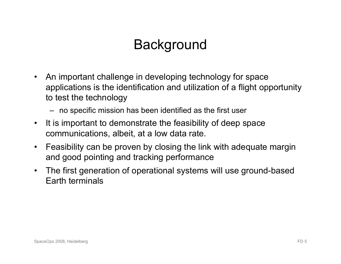### **Background**

- An important challenge in developing technology for space applications is the identification and utilization of a flight opportunity to test the technology
	- no specific mission has been identified as the first user
- It is important to demonstrate the feasibility of deep space communications, albeit, at a low data rate.
- Feasibility can be proven by closing the link with adequate margin and good pointing and tracking performance
- The first generation of operational systems will use ground-based Earth terminals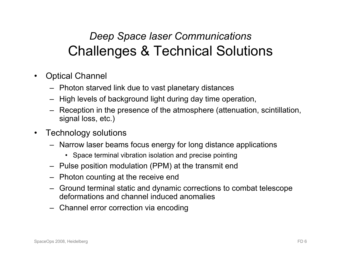### *Deep Space laser Communications*  Challenges & Technical Solutions

- Optical Channel
	- Photon starved link due to vast planetary distances
	- High levels of background light during day time operation,
	- Reception in the presence of the atmosphere (attenuation, scintillation, signal loss, etc.)
- Technology solutions
	- Narrow laser beams focus energy for long distance applications
		- Space terminal vibration isolation and precise pointing
	- Pulse position modulation (PPM) at the transmit end
	- Photon counting at the receive end
	- Ground terminal static and dynamic corrections to combat telescope deformations and channel induced anomalies
	- Channel error correction via encoding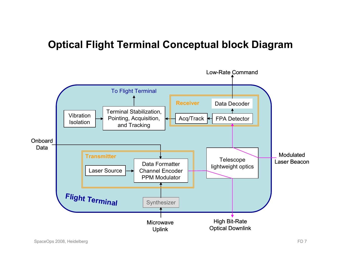#### **Optical Flight Terminal Conceptual block Diagram**

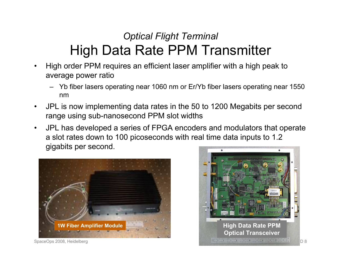#### *Optical Flight Terminal*  High Data Rate PPM Transmitter

- High order PPM requires an efficient laser amplifier with a high peak to average power ratio
	- Yb fiber lasers operating near 1060 nm or Er/Yb fiber lasers operating near 1550 nm
- JPL is now implementing data rates in the 50 to 1200 Megabits per second range using sub-nanosecond PPM slot widths
- JPL has developed a series of FPGA encoders and modulators that operate a slot rates down to 100 picoseconds with real time data inputs to 1.2 gigabits per second.



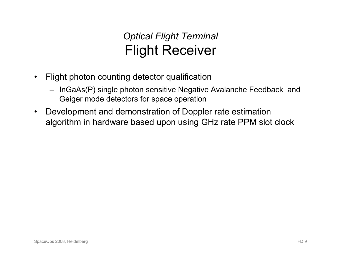#### *Optical Flight Terminal*  Flight Receiver

- Flight photon counting detector qualification
	- InGaAs(P) single photon sensitive Negative Avalanche Feedback and Geiger mode detectors for space operation
- Development and demonstration of Doppler rate estimation algorithm in hardware based upon using GHz rate PPM slot clock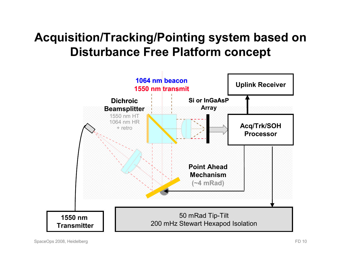### **Acquisition/Tracking/Pointing system based on Disturbance Free Platform concept**

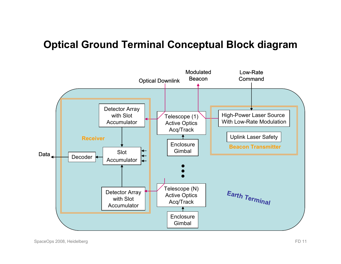#### **Optical Ground Terminal Conceptual Block diagram**

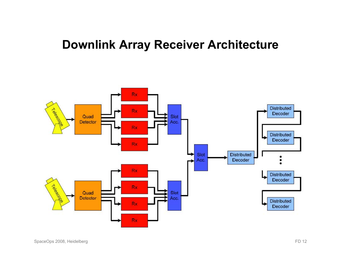#### **Downlink Array Receiver Architecture**

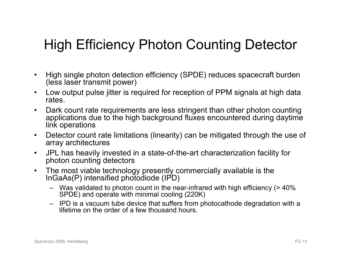## High Efficiency Photon Counting Detector

- High single photon detection efficiency (SPDE) reduces spacecraft burden (less laser transmit power)
- Low output pulse jitter is required for reception of PPM signals at high data rates.
- Dark count rate requirements are less stringent than other photon counting applications due to the high background fluxes encountered during daytime link operations
- Detector count rate limitations (linearity) can be mitigated through the use of array architectures
- JPL has heavily invested in a state-of-the-art characterization facility for photon counting detectors
- The most viable technology presently commercially available is the InGaAs(P) intensified photodiode (IPD)
	- Was validated to photon count in the near-infrared with high efficiency (> 40% SPDE) and operate with minimal cooling (220K)
	- IPD is a vacuum tube device that suffers from photocathode degradation with a lifetime on the order of a few thousand hours.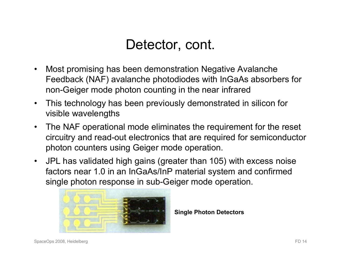### Detector, cont.

- Most promising has been demonstration Negative Avalanche Feedback (NAF) avalanche photodiodes with InGaAs absorbers for non-Geiger mode photon counting in the near infrared
- This technology has been previously demonstrated in silicon for visible wavelengths
- The NAF operational mode eliminates the requirement for the reset circuitry and read-out electronics that are required for semiconductor photon counters using Geiger mode operation.
- JPL has validated high gains (greater than 105) with excess noise factors near 1.0 in an InGaAs/InP material system and confirmed single photon response in sub-Geiger mode operation.



**Single Photon Detectors**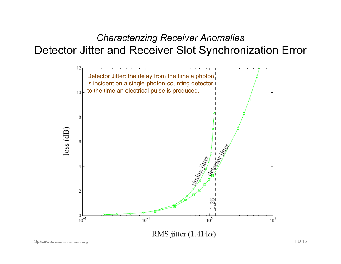#### *Characterizing Receiver Anomalies*  Detector Jitter and Receiver Slot Synchronization Error



RMS jitter  $(1.414\alpha)$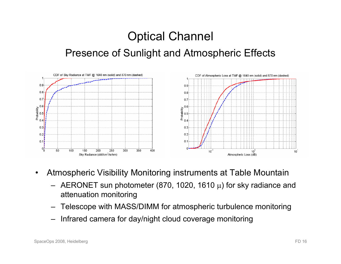### Optical Channel Presence of Sunlight and Atmospheric Effects



- Atmospheric Visibility Monitoring instruments at Table Mountain
	- AERONET sun photometer (870, 1020, 1610 μ) for sky radiance and attenuation monitoring
	- Telescope with MASS/DIMM for atmospheric turbulence monitoring
	- Infrared camera for day/night cloud coverage monitoring